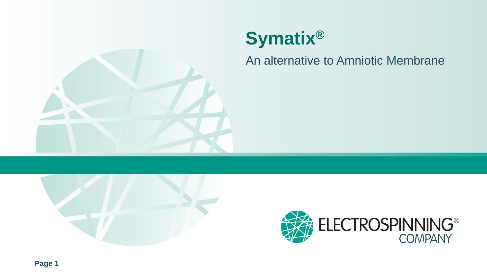

An alternative to Amniotic Membrane



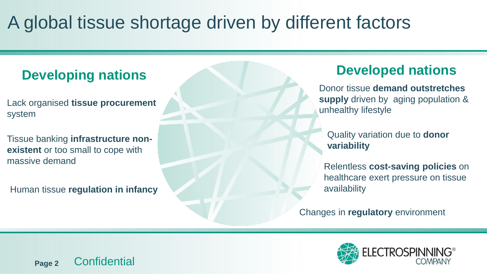## A global tissue shortage driven by different factors

### **Developing nations**

Lack organised **tissue procurement**  system

Tissue banking **infrastructure nonexistent** or too small to cope with massive demand

Human tissue **regulation in infancy**

### **Developed nations**

Donor tissue **demand outstretches supply** driven by aging population & unhealthy lifestyle

Quality variation due to **donor variability**

Relentless **cost-saving policies** on healthcare exert pressure on tissue availability

Changes in **regulatory** environment

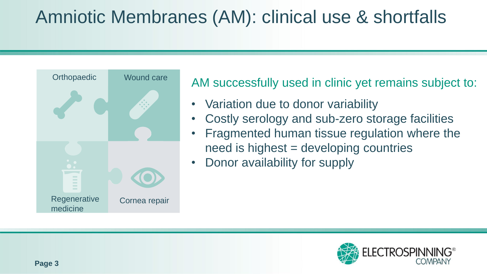## Amniotic Membranes (AM): clinical use & shortfalls



AM successfully used in clinic yet remains subject to:

- Variation due to donor variability
- Costly serology and sub-zero storage facilities
- Fragmented human tissue regulation where the need is highest = developing countries
- Donor availability for supply

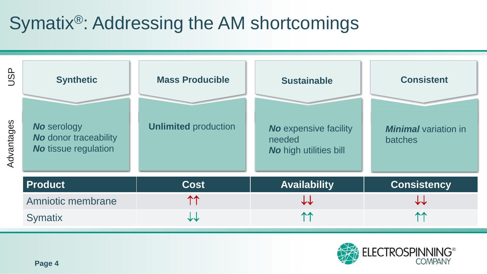## Symatix®: Addressing the AM shortcomings



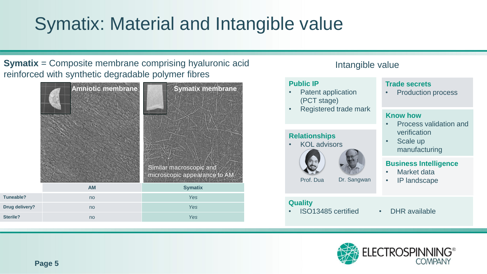# Symatix: Material and Intangible value

**Symatix** = Composite membrane comprising hyaluronic acid reinforced with synthetic degradable polymer fibres



### Intangible value

#### **Public IP**

- Patent application (PCT stage)
- Registered trade mark

#### **Relationships**

• KOL advisors



Prof. Dua Dr. Sangwan

#### **Quality**

- ISO13485 certified DHR available
- 

**Trade secrets**

**Know how**

• Scale up

verification

manufacturing

Market data • IP landscape

**Business Intelligence**

• Production process

• Process validation and

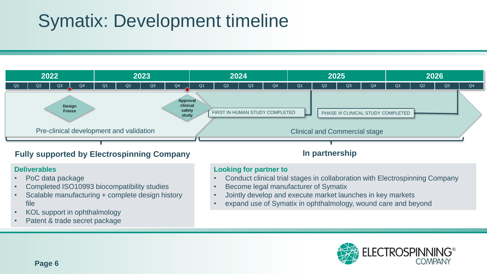## Symatix: Development timeline



- PoC data package
- Completed ISO10993 biocompatibility studies
- Scalable manufacturing + complete design history file
- KOL support in ophthalmology
- Patent & trade secret package

#### **Looking for partner to**

- Conduct clinical trial stages in collaboration with Electrospinning Company
- Become legal manufacturer of Symatix
- Jointly develop and execute market launches in key markets
- expand use of Symatix in ophthalmology, wound care and beyond

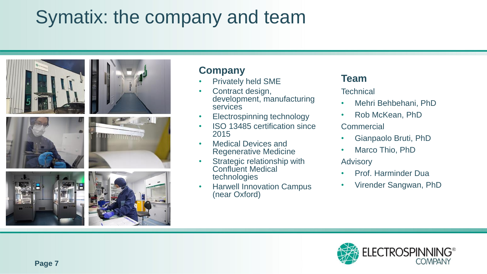# Symatix: the company and team



### **Company**

- Privately held SME
- Contract design, development, manufacturing services
- Electrospinning technology
- ISO 13485 certification since 2015
- Medical Devices and Regenerative Medicine
- Strategic relationship with Confluent Medical technologies
- Harwell Innovation Campus (near Oxford)

### **Team**

**Technical** 

- Mehri Behbehani, PhD
- Rob McKean, PhD **Commercial**
- Gianpaolo Bruti, PhD
- Marco Thio, PhD

Advisory

- Prof. Harminder Dua
- Virender Sangwan, PhD